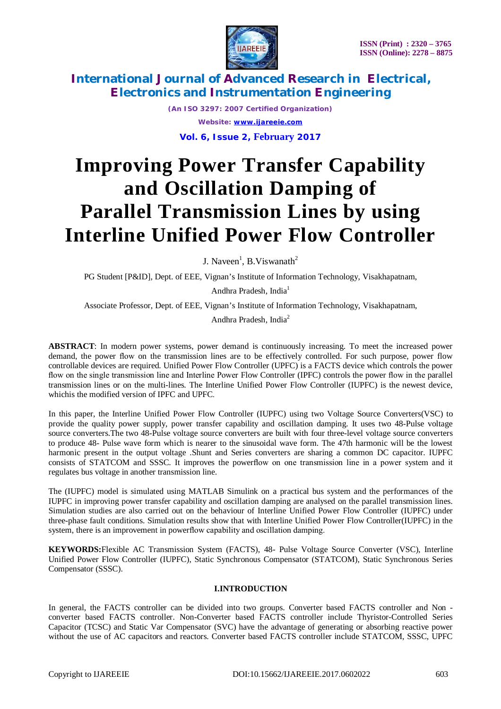

> *(An ISO 3297: 2007 Certified Organization) Website: [www.ijareeie.com](http://www.ijareeie.com)* **Vol. 6, Issue 2, February 2017**

# **Improving Power Transfer Capability and Oscillation Damping of Parallel Transmission Lines by using Interline Unified Power Flow Controller**

J. Naveen<sup>1</sup>, B. Viswanath<sup>2</sup>

PG Student [P&ID], Dept. of EEE, Vignan's Institute of Information Technology, Visakhapatnam,

Andhra Pradesh, India<sup>1</sup>

Associate Professor, Dept. of EEE, Vignan's Institute of Information Technology, Visakhapatnam,

Andhra Pradesh, India<sup>2</sup>

**ABSTRACT**: In modern power systems, power demand is continuously increasing. To meet the increased power demand, the power flow on the transmission lines are to be effectively controlled. For such purpose, power flow controllable devices are required. Unified Power Flow Controller (UPFC) is a FACTS device which controls the power flow on the single transmission line and Interline Power Flow Controller (IPFC) controls the power flow in the parallel transmission lines or on the multi-lines. The Interline Unified Power Flow Controller (IUPFC) is the newest device, whichis the modified version of IPFC and UPFC.

In this paper, the Interline Unified Power Flow Controller (IUPFC) using two Voltage Source Converters(VSC) to provide the quality power supply, power transfer capability and oscillation damping. It uses two 48-Pulse voltage source converters.The two 48-Pulse voltage source converters are built with four three-level voltage source converters to produce 48- Pulse wave form which is nearer to the sinusoidal wave form. The 47th harmonic will be the lowest harmonic present in the output voltage .Shunt and Series converters are sharing a common DC capacitor. IUPFC consists of STATCOM and SSSC. It improves the powerflow on one transmission line in a power system and it regulates bus voltage in another transmission line.

The (IUPFC) model is simulated using MATLAB Simulink on a practical bus system and the performances of the IUPFC in improving power transfer capability and oscillation damping are analysed on the parallel transmission lines. Simulation studies are also carried out on the behaviour of Interline Unified Power Flow Controller (IUPFC) under three-phase fault conditions. Simulation results show that with Interline Unified Power Flow Controller(IUPFC) in the system, there is an improvement in powerflow capability and oscillation damping.

**KEYWORDS:**Flexible AC Transmission System (FACTS), 48- Pulse Voltage Source Converter (VSC), Interline Unified Power Flow Controller (IUPFC), Static Synchronous Compensator (STATCOM), Static Synchronous Series Compensator (SSSC).

#### **I.INTRODUCTION**

In general, the FACTS controller can be divided into two groups. Converter based FACTS controller and Non converter based FACTS controller. Non-Converter based FACTS controller include Thyristor-Controlled Series Capacitor (TCSC) and Static Var Compensator (SVC) have the advantage of generating or absorbing reactive power without the use of AC capacitors and reactors. Converter based FACTS controller include STATCOM, SSSC, UPFC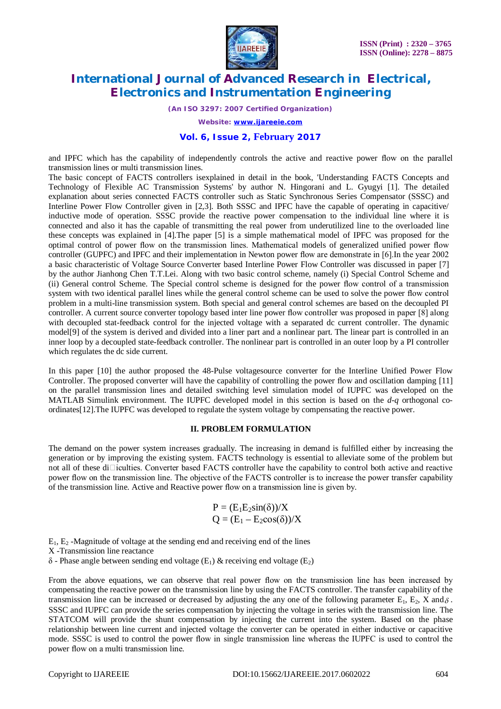

*(An ISO 3297: 2007 Certified Organization)*

*Website: [www.ijareeie.com](http://www.ijareeie.com)*

#### **Vol. 6, Issue 2, February 2017**

and IPFC which has the capability of independently controls the active and reactive power flow on the parallel transmission lines or multi transmission lines.

The basic concept of FACTS controllers isexplained in detail in the book, 'Understanding FACTS Concepts and Technology of Flexible AC Transmission Systems' by author N. Hingorani and L. Gyugyi [1]. The detailed explanation about series connected FACTS controller such as Static Synchronous Series Compensator (SSSC) and Interline Power Flow Controller given in [2,3]. Both SSSC and IPFC have the capable of operating in capacitive/ inductive mode of operation. SSSC provide the reactive power compensation to the individual line where it is connected and also it has the capable of transmitting the real power from underutilized line to the overloaded line these concepts was explained in [4].The paper [5] is a simple mathematical model of IPFC was proposed for the optimal control of power flow on the transmission lines. Mathematical models of generalized unified power flow controller (GUPFC) and IPFC and their implementation in Newton power flow are demonstrate in [6].In the year 2002 a basic characteristic of Voltage Source Converter based Interline Power Flow Controller was discussed in paper [7] by the author Jianhong Chen T.T.Lei. Along with two basic control scheme, namely (i) Special Control Scheme and (ii) General control Scheme. The Special control scheme is designed for the power flow control of a transmission system with two identical parallel lines while the general control scheme can be used to solve the power flow control problem in a multi-line transmission system. Both special and general control schemes are based on the decoupled PI controller. A current source converter topology based inter line power flow controller was proposed in paper [8] along with decoupled stat-feedback control for the injected voltage with a separated dc current controller. The dynamic model[9] of the system is derived and divided into a liner part and a nonlinear part. The linear part is controlled in an inner loop by a decoupled state-feedback controller. The nonlinear part is controlled in an outer loop by a PI controller which regulates the dc side current.

In this paper [10] the author proposed the 48-Pulse voltagesource converter for the Interline Unified Power Flow Controller. The proposed converter will have the capability of controlling the power flow and oscillation damping [11] on the parallel transmission lines and detailed switching level simulation model of IUPFC was developed on the MATLAB Simulink environment. The IUPFC developed model in this section is based on the *d-q* orthogonal coordinates[12].The IUPFC was developed to regulate the system voltage by compensating the reactive power.

#### **II. PROBLEM FORMULATION**

The demand on the power system increases gradually. The increasing in demand is fulfilled either by increasing the generation or by improving the existing system. FACTS technology is essential to alleviate some of the problem but not all of these di $\Box$ iculties. Converter based FACTS controller have the capability to control both active and reactive power flow on the transmission line. The objective of the FACTS controller is to increase the power transfer capability of the transmission line. Active and Reactive power flow on a transmission line is given by.

$$
P = (E_1E_2sin(\delta))/X
$$
  
Q = (E<sub>1</sub> - E<sub>2</sub>cos(\delta))/X

 $E_1$ ,  $E_2$  -Magnitude of voltage at the sending end and receiving end of the lines

X -Transmission line reactance

 $\delta$  - Phase angle between sending end voltage (E<sub>1</sub>) & receiving end voltage (E<sub>2</sub>)

From the above equations, we can observe that real power flow on the transmission line has been increased by compensating the reactive power on the transmission line by using the FACTS controller. The transfer capability of the transmission line can be increased or decreased by adjusting the any one of the following parameter  $E_1$ ,  $E_2$ , X and  $\delta$ . SSSC and IUPFC can provide the series compensation by injecting the voltage in series with the transmission line. The STATCOM will provide the shunt compensation by injecting the current into the system. Based on the phase relationship between line current and injected voltage the converter can be operated in either inductive or capacitive mode. SSSC is used to control the power flow in single transmission line whereas the IUPFC is used to control the power flow on a multi transmission line.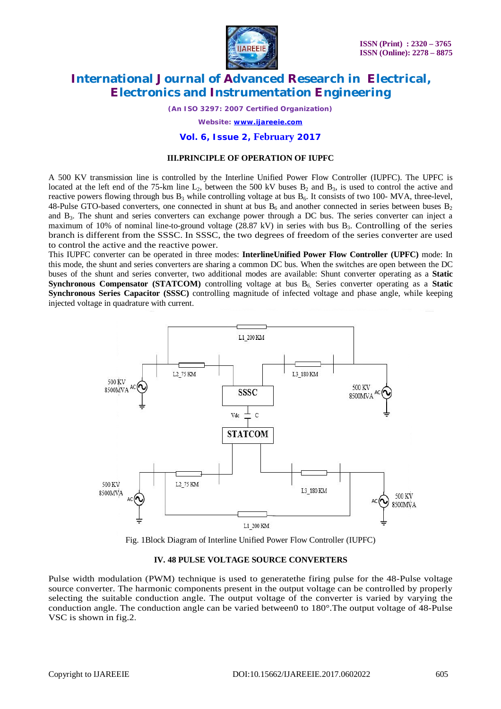

*(An ISO 3297: 2007 Certified Organization)*

*Website: [www.ijareeie.com](http://www.ijareeie.com)*

#### **Vol. 6, Issue 2, February 2017**

#### **III.PRINCIPLE OF OPERATION OF IUPFC**

A 500 KV transmission line is controlled by the Interline Unified Power Flow Controller (IUPFC). The UPFC is located at the left end of the 75-km line  $L_2$ , between the 500 kV buses  $B_2$  and  $B_3$ , is used to control the active and reactive powers flowing through bus  $B_3$  while controlling voltage at bus  $B_6$ . It consists of two 100- MVA, three-level, 48-Pulse GTO-based converters, one connected in shunt at bus  $B_6$  and another connected in series between buses  $B_2$ and B3. The shunt and series converters can exchange power through a DC bus. The series converter can inject a maximum of 10% of nominal line-to-ground voltage (28.87 kV) in series with bus B<sub>3</sub>. Controlling of the series branch is different from the SSSC. In SSSC, the two degrees of freedom of the series converter are used to control the active and the reactive power.

This IUPFC converter can be operated in three modes: **InterlineUnified Power Flow Controller (UPFC)** mode: In this mode, the shunt and series converters are sharing a common DC bus. When the switches are open between the DC buses of the shunt and series converter, two additional modes are available: Shunt converter operating as a **Static Synchronous Compensator (STATCOM)** controlling voltage at bus B6, Series converter operating as a **Static Synchronous Series Capacitor (SSSC)** controlling magnitude of infected voltage and phase angle, while keeping injected voltage in quadrature with current.



Fig. 1Block Diagram of Interline Unified Power Flow Controller (IUPFC)

#### **IV. 48 PULSE VOLTAGE SOURCE CONVERTERS**

Pulse width modulation (PWM) technique is used to generatethe firing pulse for the 48-Pulse voltage source converter. The harmonic components present in the output voltage can be controlled by properly selecting the suitable conduction angle. The output voltage of the converter is varied by varying the conduction angle. The conduction angle can be varied between0 to 180°.The output voltage of 48-Pulse VSC is shown in fig.2.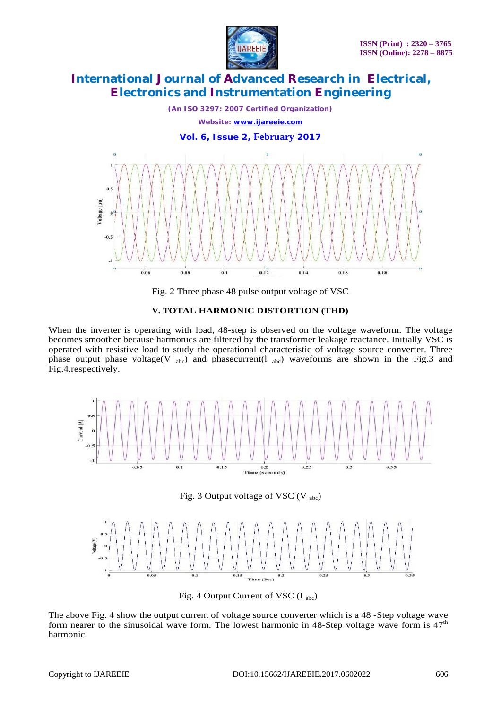

*(An ISO 3297: 2007 Certified Organization) Website: [www.ijareeie.com](http://www.ijareeie.com)* **Vol. 6, Issue 2, February 2017**  $\mathbf{a}$ oltage (pu)  $-0.5$  $\overline{a}$  $0.12$  $0.14$ 0.06  $0.08$  $0.1$  $0.16$  $0.18$ 

Fig. 2 Three phase 48 pulse output voltage of VSC

#### **V. TOTAL HARMONIC DISTORTION (THD)**

When the inverter is operating with load, 48-step is observed on the voltage waveform. The voltage becomes smoother because harmonics are filtered by the transformer leakage reactance. Initially VSC is operated with resistive load to study the operational characteristic of voltage source converter. Three phase output phase voltage(V  $_{abc}$ ) and phasecurrent(1  $_{abc}$ ) waveforms are shown in the Fig.3 and Fig.4,respectively.



Fig. 3 Output voltage of VSC (V  $_{abc}$ )



Fig. 4 Output Current of VSC  $(I_{abc})$ 

The above Fig. 4 show the output current of voltage source converter which is a 48 -Step voltage wave form nearer to the sinusoidal wave form. The lowest harmonic in 48-Step voltage wave form is  $47<sup>th</sup>$ harmonic.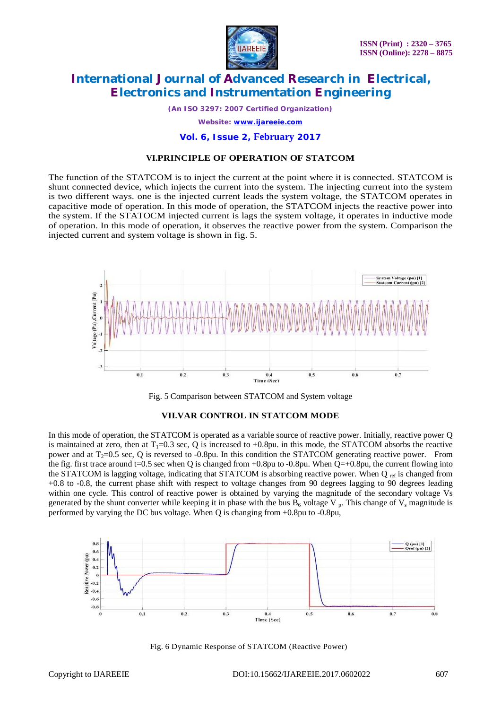

*(An ISO 3297: 2007 Certified Organization) Website: [www.ijareeie.com](http://www.ijareeie.com)*

#### **Vol. 6, Issue 2, February 2017**

#### **VI.PRINCIPLE OF OPERATION OF STATCOM**

The function of the STATCOM is to inject the current at the point where it is connected. STATCOM is shunt connected device, which injects the current into the system. The injecting current into the system is two different ways. one is the injected current leads the system voltage, the STATCOM operates in capacitive mode of operation. In this mode of operation, the STATCOM injects the reactive power into the system. If the STATOCM injected current is lags the system voltage, it operates in inductive mode of operation. In this mode of operation, it observes the reactive power from the system. Comparison the injected current and system voltage is shown in fig. 5.





#### **VII.VAR CONTROL IN STATCOM MODE**

In this mode of operation, the STATCOM is operated as a variable source of reactive power. Initially, reactive power Q is maintained at zero, then at  $T_1=0.3$  sec, Q is increased to  $+0.8$ pu. in this mode, the STATCOM absorbs the reactive power and at  $T_2=0.5$  sec, Q is reversed to -0.8pu. In this condition the STATCOM generating reactive power. From the fig. first trace around t=0.5 sec when Q is changed from  $+0.8$ pu to  $-0.8$ pu. When Q= $+0.8$ pu, the current flowing into the STATCOM is lagging voltage, indicating that STATCOM is absorbing reactive power. When Q ref is changed from +0.8 to -0.8, the current phase shift with respect to voltage changes from 90 degrees lagging to 90 degrees leading within one cycle. This control of reactive power is obtained by varying the magnitude of the secondary voltage Vs generated by the shunt converter while keeping it in phase with the bus  $B_6$  voltage V <sub>p</sub>. This change of V<sub>s</sub> magnitude is performed by varying the DC bus voltage. When Q is changing from +0.8pu to -0.8pu,



Fig. 6 Dynamic Response of STATCOM (Reactive Power)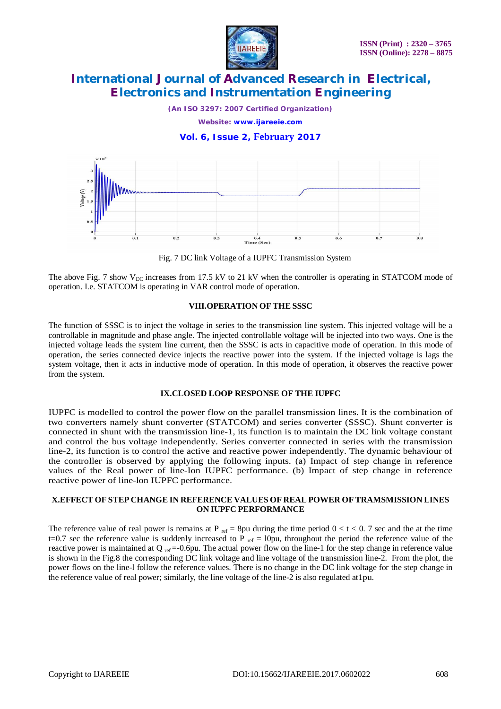

*(An ISO 3297: 2007 Certified Organization)*

*Website: [www.ijareeie.com](http://www.ijareeie.com)*

#### **Vol. 6, Issue 2, February 2017**



Fig. 7 DC link Voltage of a IUPFC Transmission System

The above Fig. 7 show  $V_{DC}$  increases from 17.5 kV to 21 kV when the controller is operating in STATCOM mode of operation. I.e. STATCOM is operating in VAR control mode of operation.

#### **VIII.OPERATION OF THE SSSC**

The function of SSSC is to inject the voltage in series to the transmission line system. This injected voltage will be a controllable in magnitude and phase angle. The injected controllable voltage will be injected into two ways. One is the injected voltage leads the system line current, then the SSSC is acts in capacitive mode of operation. In this mode of operation, the series connected device injects the reactive power into the system. If the injected voltage is lags the system voltage, then it acts in inductive mode of operation. In this mode of operation, it observes the reactive power from the system.

#### **IX.CLOSED LOOP RESPONSE OF THE IUPFC**

IUPFC is modelled to control the power flow on the parallel transmission lines. It is the combination of two converters namely shunt converter (STATCOM) and series converter (SSSC). Shunt converter is connected in shunt with the transmission line-1, its function is to maintain the DC link voltage constant and control the bus voltage independently. Series converter connected in series with the transmission line-2, its function is to control the active and reactive power independently. The dynamic behaviour of the controller is observed by applying the following inputs. (a) Impact of step change in reference values of the Real power of line-Ion IUPFC performance. (b) Impact of step change in reference reactive power of line-lon IUPFC performance.

#### **X.EFFECT OF STEP CHANGE IN REFERENCE VALUES OF REAL POWER OF TRAMSMISSION LINES ON IUPFC PERFORMANCE**

The reference value of real power is remains at P  $_{ref}$  = 8pu during the time period  $0 < t < 0$ . 7 sec and the at the time t=0.7 sec the reference value is suddenly increased to P  $_{ref}$  = l0pu, throughout the period the reference value of the reactive power is maintained at  $Q_{ref} = -0.6$ pu. The actual power flow on the line-1 for the step change in reference value is shown in the Fig.8 the corresponding DC link voltage and line voltage of the transmission line-2. From the plot, the power flows on the line-l follow the reference values. There is no change in the DC link voltage for the step change in the reference value of real power; similarly, the line voltage of the line-2 is also regulated at1pu.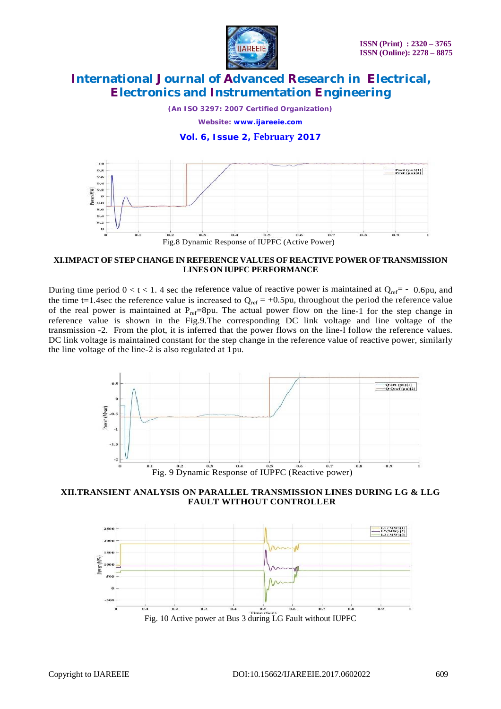

*(An ISO 3297: 2007 Certified Organization)*

*Website: [www.ijareeie.com](http://www.ijareeie.com)*

#### **Vol. 6, Issue 2, February 2017**



Fig.8 Dynamic Response of IUPFC (Active Power)

#### **XI.IMPACT OF STEP CHANGE IN REFERENCE VALUES OF REACTIVE POWER OF TRANSMISSION LINES ON IUPFC PERFORMANCE**

During time period  $0 < t < 1$ . 4 sec the reference value of reactive power is maintained at  $Q_{ref} = -0.6$ pu, and the time t=1.4sec the reference value is increased to  $Q_{ref} = +0.5pu$ , throughout the period the reference value of the real power is maintained at  $P_{ref}=8$ pu. The actual power flow on the line-1 for the step change in reference value is shown in the Fig.9.The corresponding DC link voltage and line voltage of the transmission -2. From the plot, it is inferred that the power flows on the line-l follow the reference values. DC link voltage is maintained constant for the step change in the reference value of reactive power, similarly the line voltage of the line-2 is also regulated at 1pu.



**XII.TRANSIENT ANALYSIS ON PARALLEL TRANSMISSION LINES DURING LG & LLG FAULT WITHOUT CONTROLLER**

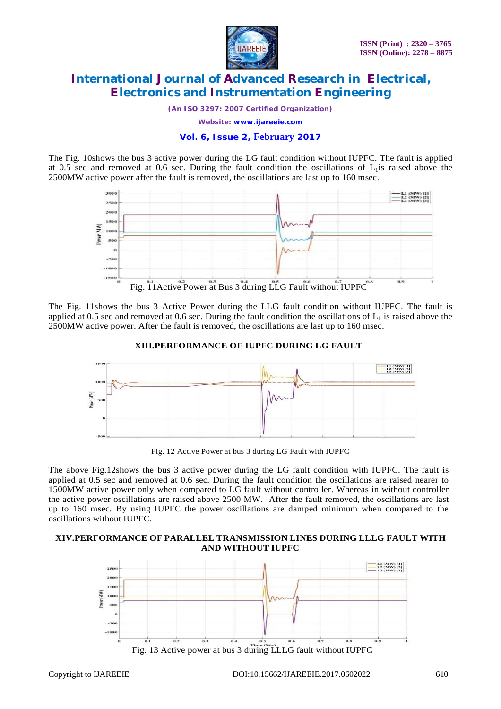

*(An ISO 3297: 2007 Certified Organization)*

*Website: [www.ijareeie.com](http://www.ijareeie.com)*

### **Vol. 6, Issue 2, February 2017**

The Fig. 10shows the bus 3 active power during the LG fault condition without IUPFC. The fault is applied at 0.5 sec and removed at 0.6 sec. During the fault condition the oscillations of  $L_1$  is raised above the 2500MW active power after the fault is removed, the oscillations are last up to 160 msec.



The Fig. 11shows the bus 3 Active Power during the LLG fault condition without IUPFC. The fault is applied at 0.5 sec and removed at 0.6 sec. During the fault condition the oscillations of  $L_1$  is raised above the 2500MW active power. After the fault is removed, the oscillations are last up to 160 msec.



**XIII.PERFORMANCE OF IUPFC DURING LG FAULT**

Fig. 12 Active Power at bus 3 during LG Fault with IUPFC

The above Fig.12shows the bus 3 active power during the LG fault condition with IUPFC. The fault is applied at 0.5 sec and removed at 0.6 sec. During the fault condition the oscillations are raised nearer to 1500MW active power only when compared to LG fault without controller. Whereas in without controller the active power oscillations are raised above 2500 MW. After the fault removed, the oscillations are last up to 160 msec. By using IUPFC the power oscillations are damped minimum when compared to the oscillations without IUPFC.

#### **XIV.PERFORMANCE OF PARALLEL TRANSMISSION LINES DURING LLLG FAULT WITH AND WITHOUT IUPFC**

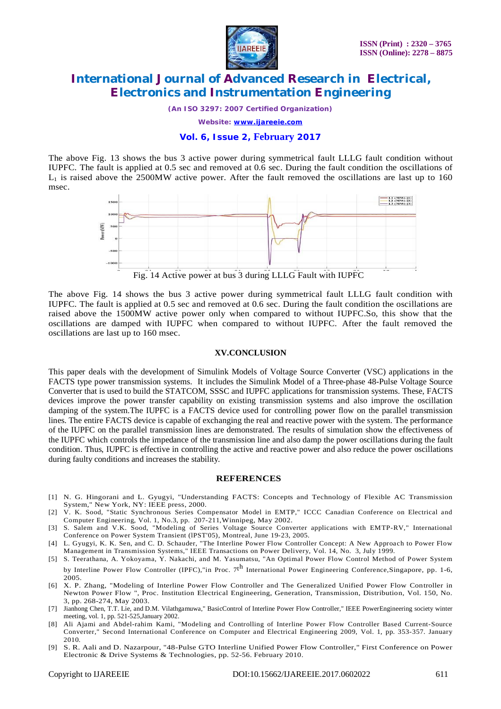

*(An ISO 3297: 2007 Certified Organization)*

*Website: [www.ijareeie.com](http://www.ijareeie.com)*

#### **Vol. 6, Issue 2, February 2017**

The above Fig. 13 shows the bus 3 active power during symmetrical fault LLLG fault condition without IUPFC. The fault is applied at 0.5 sec and removed at 0.6 sec. During the fault condition the oscillations of  $L_1$  is raised above the 2500MW active power. After the fault removed the oscillations are last up to 160 msec.



The above Fig. 14 shows the bus 3 active power during symmetrical fault LLLG fault condition with IUPFC. The fault is applied at 0.5 sec and removed at 0.6 sec. During the fault condition the oscillations are raised above the 1500MW active power only when compared to without IUPFC.So, this show that the oscillations are damped with IUPFC when compared to without IUPFC. After the fault removed the oscillations are last up to 160 msec.

#### **XV.CONCLUSION**

This paper deals with the development of Simulink Models of Voltage Source Converter (VSC) applications in the FACTS type power transmission systems. It includes the Simulink Model of a Three-phase 48-Pulse Voltage Source Converter that is used to build the STATCOM, SSSC and IUPFC applications for transmission systems. These, FACTS devices improve the power transfer capability on existing transmission systems and also improve the oscillation damping of the system.The IUPFC is a FACTS device used for controlling power flow on the parallel transmission lines. The entire FACTS device is capable of exchanging the real and reactive power with the system. The performance of the IUPFC on the parallel transmission lines are demonstrated. The results of simulation show the effectiveness of the IUPFC which controls the impedance of the transmission line and also damp the power oscillations during the fault condition. Thus, IUPFC is effective in controlling the active and reactive power and also reduce the power oscillations during faulty conditions and increases the stability.

#### **REFERENCES**

- [1] N. G. Hingorani and L. Gyugyi, "Understanding FACTS: Concepts and Technology of Flexible AC Transmission System," New York, NY: IEEE press, 2000.
- [2] V. K. Sood, "Static Synchronous Series Compensator Model in EMTP," ICCC Canadian Conference on Electrical and Computer Engineering, Vol. 1, No.3, pp. 207-211,Winnipeg, May 2002.
- [3] S. Salem and V.K. Sood, "Modeling of Series Voltage Source Converter applications with EMTP-RV," International Conference on Power System Transient (lPST'05), Montreal, June 19-23, 2005.
- [4] L. Gyugyi, K. K. Sen, and C. D. Schauder, "The Interline Power Flow Controller Concept: A New Approach to Power Flow Management in Transmission Systems," IEEE Transactions on Power Delivery, Vol. 14, No. 3, July 1999.
- [5] S. Teerathana, A. Yokoyama, Y. Nakachi, and M. Yasumatsu, "An Optimal Power Flow Control Method of Power System by Interline Power Flow Controller (IPFC),"in Proc. 7t<sup>h</sup> International Power Engineering Conference,Singapore, pp. 1-6, 2005.
- [6] X. P. Zhang, "Modeling of Interline Power Flow Controller and The Generalized Unified Power Flow Controller in Newton Power Flow ", Proc. Institution Electrical Engineering, Generation, Transmission, Distribution, Vol. 150, No. 3, pp. 268-274, May 2003.
- [7] Jianhong Chen, T.T. Lie, and D.M. Vilathgamuwa," BasicControl of Interline Power Flow Controller," IEEE PowerEngineering society winter meeting, vol. 1, pp. 521-525,January 2002.
- [8] Ali Ajami and Abdel-rahim Kami, "Modeling and Controlling of Interline Power Flow Controller Based Current-Source Converter," Second International Conference on Computer and Electrical Engineering 2009, Vol. 1, pp. 353-357. January 2010.
- [9] S. R. Aali and D. Nazarpour, "48-Pulse GTO Interline Unified Power Flow Controller," First Conference on Power Electronic & Drive Systems & Technologies, pp. 52-56. February 2010.